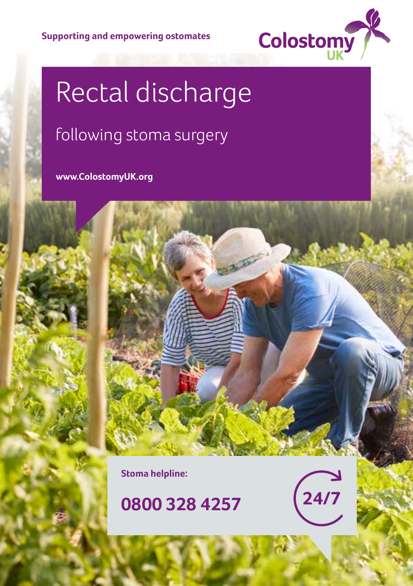**Supporting and empowering ostomates**



# Rectal discharge

### following stoma surgery

**www.ColostomyUK.org**

**Stoma helpline:**

**0800 328 4257**

Charles Co

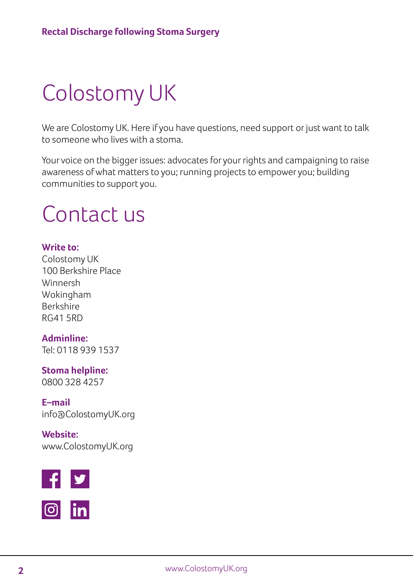## Colostomy UK

We are Colostomy UK. Here if you have questions, need support or just want to talk to someone who lives with a stoma.

Your voice on the bigger issues: advocates for your rights and campaigning to raise awareness of what matters to you; running projects to empower you; building communities to support you.

### Contact us

#### **Write to:**

Colostomy UK 100 Berkshire Place Winnersh Wokingham Berkshire RG41 5RD

#### **Adminline:**

Tel: 0118 939 1537

**Stoma helpline:** 0800 328 4257

**E–mail** info@ColostomyUK.org

**Website:** www.ColostomyUK.org

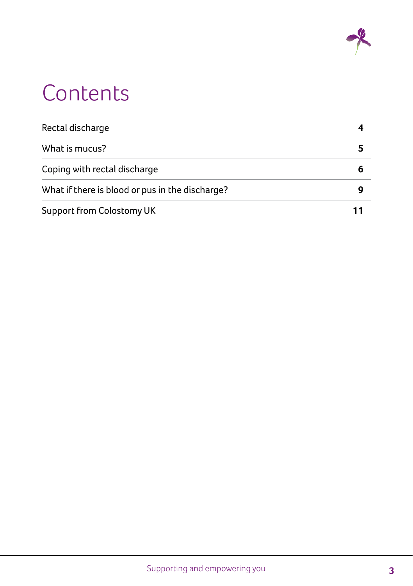

### **Contents**

| Rectal discharge                                |  |
|-------------------------------------------------|--|
| What is mucus?                                  |  |
| Coping with rectal discharge                    |  |
| What if there is blood or pus in the discharge? |  |
| Support from Colostomy UK                       |  |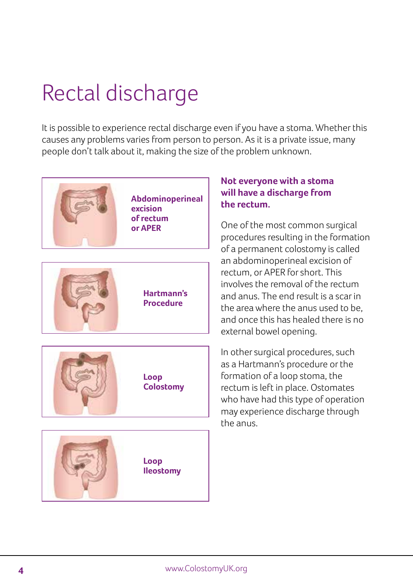### Rectal discharge

It is possible to experience rectal discharge even if you have a stoma. Whether this causes any problems varies from person to person. As it is a private issue, many people don't talk about it, making the size of the problem unknown.









#### **Not everyone with a stoma will have a discharge from the rectum.**

One of the most common surgical procedures resulting in the formation of a permanent colostomy is called an abdominoperineal excision of rectum, or APER for short. This involves the removal of the rectum and anus. The end result is a scar in the area where the anus used to be, and once this has healed there is no external bowel opening.

In other surgical procedures, such as a Hartmann's procedure or the formation of a loop stoma, the rectum is left in place. Ostomates who have had this type of operation may experience discharge through the anus.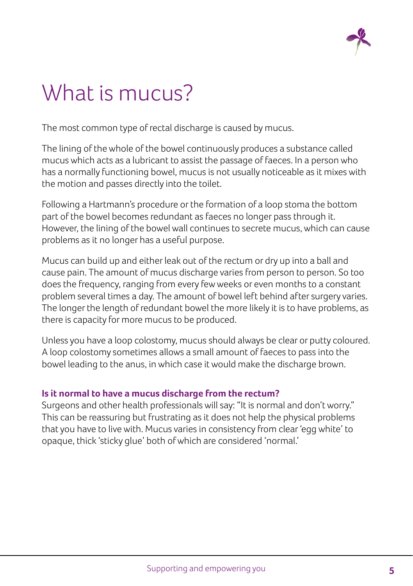

### What is mucus?

The most common type of rectal discharge is caused by mucus.

The lining of the whole of the bowel continuously produces a substance called mucus which acts as a lubricant to assist the passage of faeces. In a person who has a normally functioning bowel, mucus is not usually noticeable as it mixes with the motion and passes directly into the toilet.

Following a Hartmann's procedure or the formation of a loop stoma the bottom part of the bowel becomes redundant as faeces no longer pass through it. However, the lining of the bowel wall continues to secrete mucus, which can cause problems as it no longer has a useful purpose.

Mucus can build up and either leak out of the rectum or dry up into a ball and cause pain. The amount of mucus discharge varies from person to person. So too does the frequency, ranging from every few weeks or even months to a constant problem several times a day. The amount of bowel left behind after surgery varies. The longer the length of redundant bowel the more likely it is to have problems, as there is capacity for more mucus to be produced.

Unless you have a loop colostomy, mucus should always be clear or putty coloured. A loop colostomy sometimes allows a small amount of faeces to pass into the bowel leading to the anus, in which case it would make the discharge brown.

#### **Is it normal to have a mucus discharge from the rectum?**

Surgeons and other health professionals will say: "It is normal and don't worry." This can be reassuring but frustrating as it does not help the physical problems that you have to live with. Mucus varies in consistency from clear 'egg white' to opaque, thick 'sticky glue' both of which are considered 'normal.'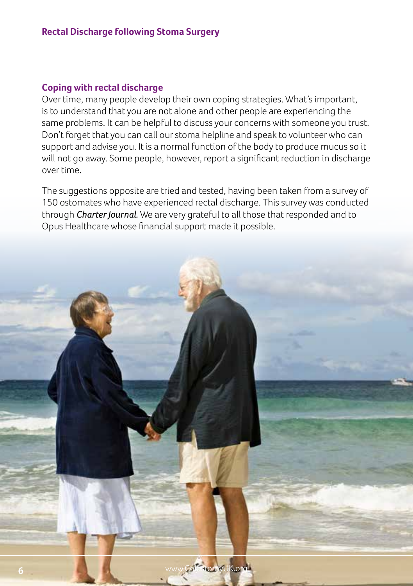#### **Coping with rectal discharge**

Over time, many people develop their own coping strategies. What's important, is to understand that you are not alone and other people are experiencing the same problems. It can be helpful to discuss your concerns with someone you trust. Don't forget that you can call our stoma helpline and speak to volunteer who can support and advise you. It is a normal function of the body to produce mucus so it will not go away. Some people, however, report a significant reduction in discharge over time.

The suggestions opposite are tried and tested, having been taken from a survey of 150 ostomates who have experienced rectal discharge. This survey was conducted through *Charter Journal.* We are very grateful to all those that responded and to Opus Healthcare whose financial support made it possible.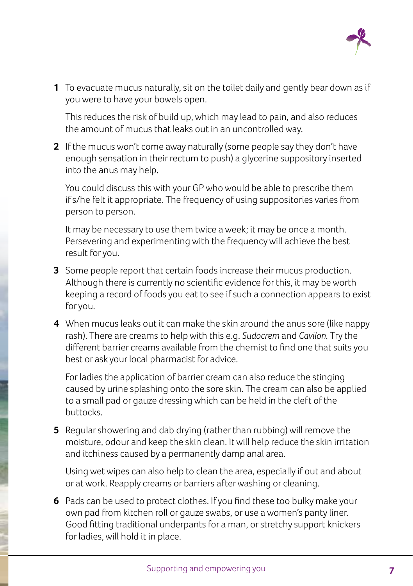

**1** To evacuate mucus naturally, sit on the toilet daily and gently bear down as if you were to have your bowels open.

This reduces the risk of build up, which may lead to pain, and also reduces the amount of mucus that leaks out in an uncontrolled way.

**2** If the mucus won't come away naturally (some people say they don't have enough sensation in their rectum to push) a glycerine suppository inserted into the anus may help.

You could discuss this with your GP who would be able to prescribe them if s/he felt it appropriate. The frequency of using suppositories varies from person to person.

It may be necessary to use them twice a week; it may be once a month. Persevering and experimenting with the frequency will achieve the best result for you.

- **3** Some people report that certain foods increase their mucus production. Although there is currently no scientific evidence for this, it may be worth keeping a record of foods you eat to see if such a connection appears to exist for you.
- **4** When mucus leaks out it can make the skin around the anus sore (like nappy rash). There are creams to help with this e.g. *Sudocrem* and *Cavilon.* Try the different barrier creams available from the chemist to find one that suits you best or ask your local pharmacist for advice.

For ladies the application of barrier cream can also reduce the stinging caused by urine splashing onto the sore skin. The cream can also be applied to a small pad or gauze dressing which can be held in the cleft of the buttocks.

**5** Regular showering and dab drying (rather than rubbing) will remove the moisture, odour and keep the skin clean. It will help reduce the skin irritation and itchiness caused by a permanently damp anal area.

Using wet wipes can also help to clean the area, especially if out and about or at work. Reapply creams or barriers after washing or cleaning.

**6** Pads can be used to protect clothes. If you find these too bulky make your own pad from kitchen roll or gauze swabs, or use a women's panty liner. Good fitting traditional underpants for a man, or stretchy support knickers for ladies, will hold it in place.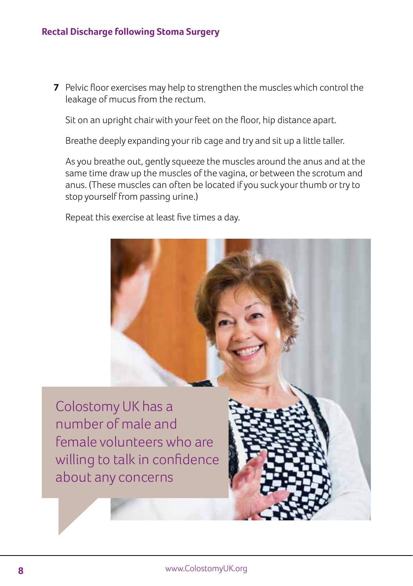#### **Rectal Discharge following Stoma Surgery**

**7** Pelvic floor exercises may help to strengthen the muscles which control the leakage of mucus from the rectum.

Sit on an upright chair with your feet on the floor, hip distance apart.

Breathe deeply expanding your rib cage and try and sit up a little taller.

As you breathe out, gently squeeze the muscles around the anus and at the same time draw up the muscles of the vagina, or between the scrotum and anus. (These muscles can often be located if you suck your thumb or try to stop yourself from passing urine.)

Repeat this exercise at least five times a day.

Colostomy UK has a number of male and female volunteers who are willing to talk in confidence about any concerns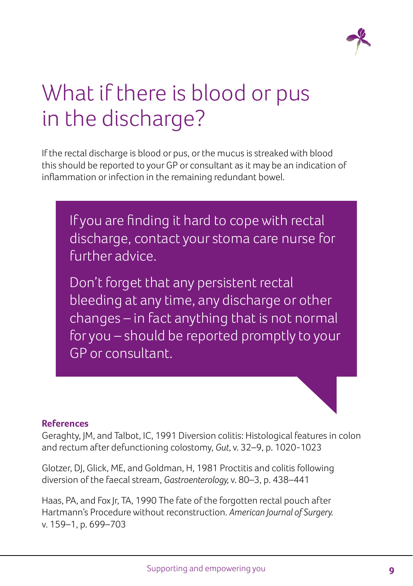

### What if there is blood or pus in the discharge?

If the rectal discharge is blood or pus, or the mucus is streaked with blood this should be reported to your GP or consultant as it may be an indication of inflammation or infection in the remaining redundant bowel.

If you are finding it hard to cope with rectal discharge, contact your stoma care nurse for further advice.

Don't forget that any persistent rectal bleeding at any time, any discharge or other  $changes - in fact anything that is not normal'$ for you – should be reported promptly to your GP or consultant.

#### **References**

Geraghty, JM, and Talbot, IC, 1991 Diversion colitis: Histological features in colon and rectum after defunctioning colostomy, *Gut*, v. 32–9, p. 1020-1023

Glotzer, DJ, Glick, ME, and Goldman, H, 1981 Proctitis and colitis following diversion of the faecal stream, *Gastroenterology,* v. 80–3, p. 438–441

Haas, PA, and Fox Jr, TA, 1990 The fate of the forgotten rectal pouch after Hartmann's Procedure without reconstruction. *American Journal of Surgery.* v. 159–1, p. 699–703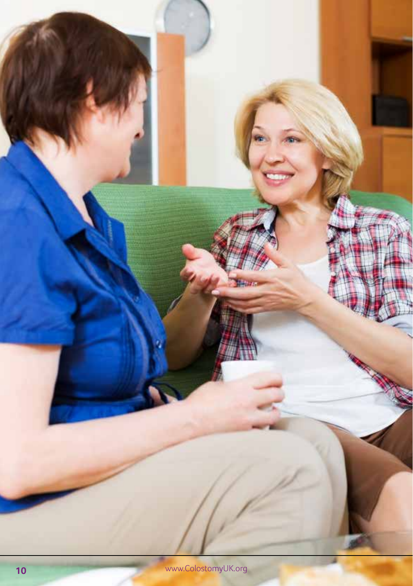#### **Rectal Discharge following Stoma Surgery**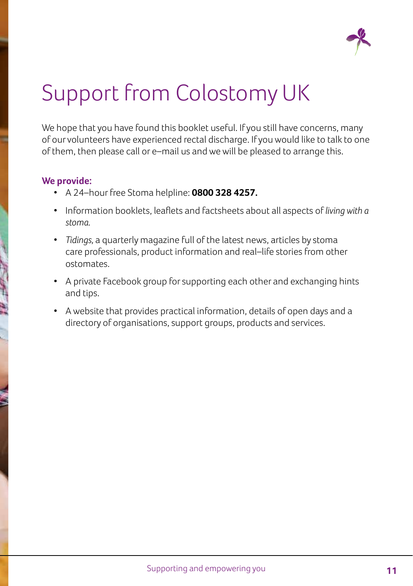

## Support from Colostomy UK

We hope that you have found this booklet useful. If you still have concerns, many of our volunteers have experienced rectal discharge. If you would like to talk to one of them, then please call or e–mail us and we will be pleased to arrange this.

#### **We provide:**

- A 24–hour free Stoma helpline: **0800 328 4257.**
- Information booklets, leaflets and factsheets about all aspects of *living with a stoma.*
- *Tidings,* a quarterly magazine full of the latest news, articles by stoma care professionals, product information and real–life stories from other ostomates.
- A private Facebook group for supporting each other and exchanging hints and tips.
- A website that provides practical information, details of open days and a directory of organisations, support groups, products and services.